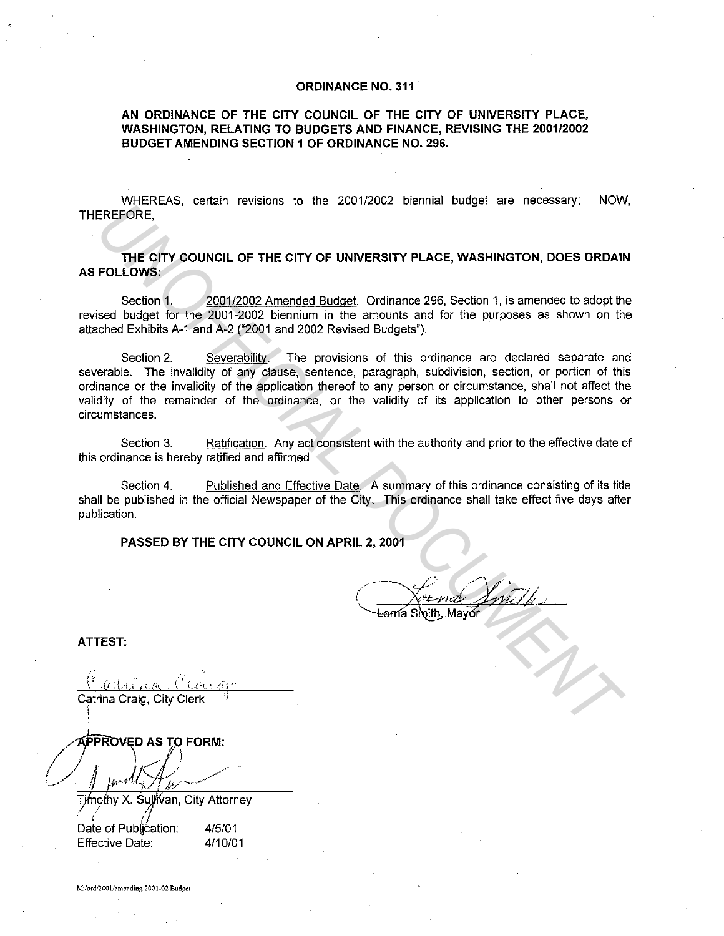## **ORDINANCE NO. 311**

**AN ORDINANCE OF THE CITY COUNCIL OF THE CITY OF UNIVERSITY PLACE, WASHINGTON, RELATING TO BUDGETS AND FINANCE, REVISING THE 2001/2002 BUDGET AMENDING SECTION 1 OF ORDINANCE NO. 296.** 

WHEREAS, certain revisions to the 2001/2002 biennial budget are necessary; NOW, THEREFORE,

**THE CITY COUNCIL OF THE CITY OF UNIVERSITY PLACE, WASHINGTON, DOES ORDAIN AS FOLLOWS:** 

Section 1. 2001/2002 Amended Budget. Ordinance 296, Section 1, is amended to adopt the revised budget for the 2001-2002 biennium in the amounts and for the purposes as shown on the attached Exhibits A-1 and A-2 ("2001 and 2002 Revised Budgets").

Section 2. Severability. The provisions of this ordinance are declared separate and severable. The invalidity of any clause, sentence, paragraph, subdivision, section, or portion of this ordinance or the invalidity of the application thereof to any person or circumstance, shall not affect the validity of the remainder of the ordinance, or the validity of its application to other persons or circumstances. **EREFORE THE CITY COUNCIL OF THE CITY OF UNIVERSITY PLACE, WASHINGTON, DOES ORDAIN**<br> **THE CITY COUNCIL OF THE CITY OF UNIVERSITY PLACE, WASHINGTON, DOES ORDAIN**<br> **UNIVERSITY COUNCIL OF THE CITY OF UNIVERSITY PLACE, WASHING** 

Section 3. Ratification. Any act consistent with the authority and prior to the effective date of this ordinance is hereby ratified and affirmed.

Section 4. Published and Effective Date. A summary of this ordinance consisting of its title shall be published in the official Newspaper of the City. This ordinance shall take effect five days after publication.

**PASSED BY THE CITY COUNCIL ON APRIL 2, 2001** 

**ATTEST:** 

Catrina Craig, City Clerk

**APPROVED AS TO FORM:** 

Timothy X. Sullivan, City Attorney  $\ell$  /  $\ell$  /  $\ell$ 

Date of Publication: 4/5/01 Effective Date: 4/10/01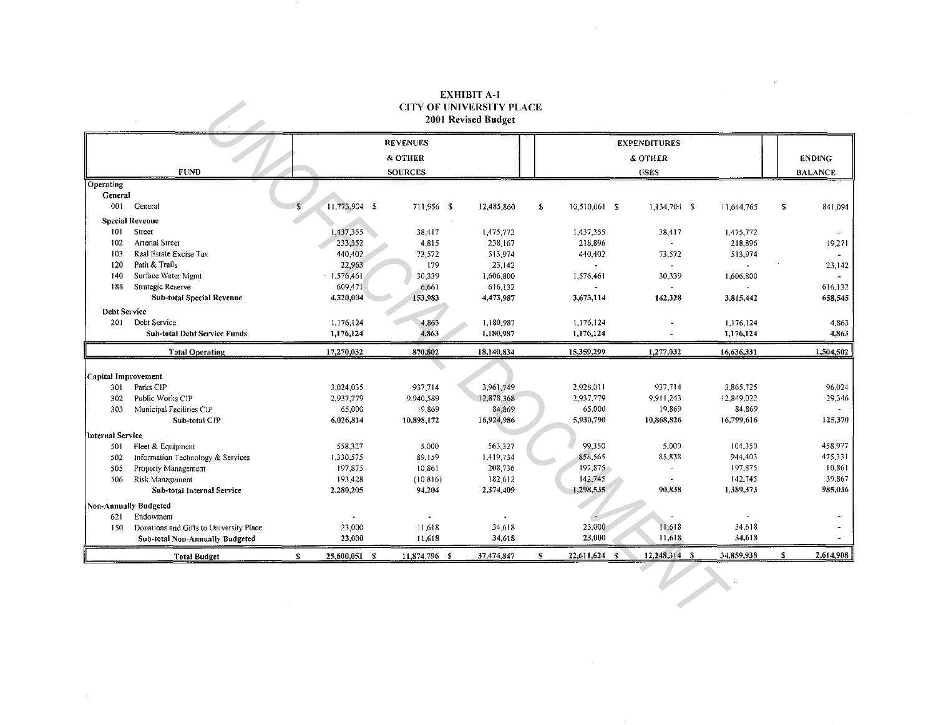## **EXHIBIT A-1 CITY OF UNIVERSITY PLACE** 2001 Revised Budget

| елины а-і<br><b>CITY OF UNIVERSITY PLACE</b><br>2001 Revised Budget |                                         |                    |                 |            |                     |                          |            |    |                |
|---------------------------------------------------------------------|-----------------------------------------|--------------------|-----------------|------------|---------------------|--------------------------|------------|----|----------------|
|                                                                     |                                         |                    | <b>REVENUES</b> |            |                     | <b>EXPENDITURES</b>      |            |    |                |
|                                                                     |                                         |                    | & OTHER         |            |                     | & OTHER                  |            |    | <b>ENDING</b>  |
|                                                                     | <b>FUND</b>                             |                    | <b>SOURCES</b>  |            |                     | <b>USES</b>              |            |    | <b>BALANCE</b> |
| Operating                                                           |                                         |                    |                 |            |                     |                          |            |    |                |
| General                                                             |                                         |                    |                 |            |                     |                          |            |    |                |
| 001                                                                 | General                                 | 11,773,904 \$      | 711,956 \$      | 12,485,860 | S.<br>10,510,061 \$ | $1,134,704$ \$           | 11,644,765 | S. | 841,094        |
| <b>Special Revenue</b>                                              |                                         |                    |                 |            |                     |                          |            |    |                |
| 101                                                                 | Street                                  | 1,437,355          | 38,417          | 1,475,772  | 1,437.355           | 38.417                   | 1,475,772  |    |                |
| 102                                                                 | Arterial Street                         | 233,352            | 4,815           | 238,167    | 218,896             |                          | 218,896    |    | 19,271         |
| 103                                                                 | Real Estate Excise Tax                  | 440,402            | 73,572          | 513,974    | 440.402             | 73,572                   | 513,974    |    |                |
| 120                                                                 | Path & Trails                           | 22,963             | 179             | 23,142     |                     |                          |            |    | 23,142         |
| 140                                                                 | Surface Water Mgmt                      | 1,576,461          | 30,339          | 1,606,800  | 1,576.461           | 30,339                   | 1,606,800  |    |                |
| 188                                                                 | Strategic Reserve                       | 609,471            | 6,661           | 616,132    |                     | $\overline{\phantom{a}}$ |            |    | 616,132        |
|                                                                     | Sub-total Special Revenue               | 4,320,004          | 153,983         | 4,473,987  | 3,673,114           | 142,328                  | 3,815,442  |    | 658,545        |
| <b>Debt Service</b>                                                 |                                         |                    |                 |            |                     |                          |            |    |                |
| 201                                                                 | Debt Service                            | 1,176,124          | 4,863           | 1,180,987  | 1,176,124           |                          | 1,176,124  |    | 4,863          |
|                                                                     | <b>Sub-total Debt Service Funds</b>     | 1,176,124          | 4,863           | 1,180,987  | 1,176,124           |                          | 1,176,124  |    | 4,863          |
|                                                                     | <b>Total Operating</b>                  | 17,270,032         | 870,802         | 18,140,834 | 15,359,299          | 1,277,032                | 16,636,331 |    | 1,504,502      |
|                                                                     |                                         |                    |                 |            |                     |                          |            |    |                |
| Capital Improvement                                                 |                                         |                    |                 |            |                     |                          |            |    |                |
| 301                                                                 | Parks CIP                               | 3,024,035          | 937,714         | 3,961,749  | 2,928,011           | 937.714                  | 3,865,725  |    | 96,024         |
| 302                                                                 | Public Works CIP                        | 2,937,779          | 9,940,589       | 12,878,368 | 2,937,779           | 9,911,243                | 12,849,022 |    | 29,346         |
| 303                                                                 | Municipal Facilities CIP                | 65,000             | 19,869          | 84,869     | 65.000              | 19,869                   | 84,869     |    |                |
|                                                                     | Sub-total CIP                           | 6,026,814          | 10,898,172      | 16,924,986 | 5,930.790           | 10,868.826               | 16,799,616 |    | 125,370        |
| Internal Service                                                    |                                         |                    |                 |            |                     |                          |            |    |                |
| 501                                                                 | Fleet & Equipment                       | 558,327            | 5,000           | 563,327    | 99,350              | 5,000                    | 104,350    |    | 458,977        |
| 502                                                                 | Information Technology & Services       | 1,330,575          | 89,159          | 1,419,734  | 858,565             | 85,838                   | 944.403    |    | 475,331        |
| 505                                                                 | Property Management                     | 197,875            | 10,861          | 208,736    | 197,875             | u.                       | 197,875    |    | 10,861         |
| 506                                                                 | Risk Management                         | 193,428            | (10, 816)       | 182,612    | 142,745             |                          | 142,745    |    | 39,867         |
|                                                                     | Sub-total Internal Service              | 2,280,205          | 94,204          | 2,374,409  | 1,298,535           | 90.838                   | 1,389,373  |    | 985,036        |
| <b>Non-Annually Budgeted</b>                                        |                                         |                    |                 |            |                     |                          |            |    |                |
| 621                                                                 | Endowment                               |                    |                 |            |                     |                          |            |    |                |
| 150                                                                 | Donations and Gifts to University Place | 23,000             | 11,618          | 34,618     | 23,000              | 11,618                   | 34,618     |    |                |
|                                                                     | Sub-total Non-Annually Budgeted         | 23,000             | 11,618          | 34,618     | 23,000              | 11,618                   | 34,618     |    |                |
|                                                                     | <b>Total Budget</b>                     | s<br>25,600,051 \$ | 11,874,796 \$   | 37,474,847 | 22,611,624 \$<br>S  | $12,248,314$ \$          | 34,859,938 | S  | 2,614,908      |

 $\mathcal{L}^{\mathcal{L}}(\mathcal{L}^{\mathcal{L}}(\mathcal{L}^{\mathcal{L}}(\mathcal{L}^{\mathcal{L}}(\mathcal{L}^{\mathcal{L}}(\mathcal{L}^{\mathcal{L}}(\mathcal{L}^{\mathcal{L}}(\mathcal{L}^{\mathcal{L}}(\mathcal{L}^{\mathcal{L}}(\mathcal{L}^{\mathcal{L}}(\mathcal{L}^{\mathcal{L}}(\mathcal{L}^{\mathcal{L}}(\mathcal{L}^{\mathcal{L}}(\mathcal{L}^{\mathcal{L}}(\mathcal{L}^{\mathcal{L}}(\mathcal{L}^{\mathcal{L}}(\mathcal{L}^{\mathcal{L$